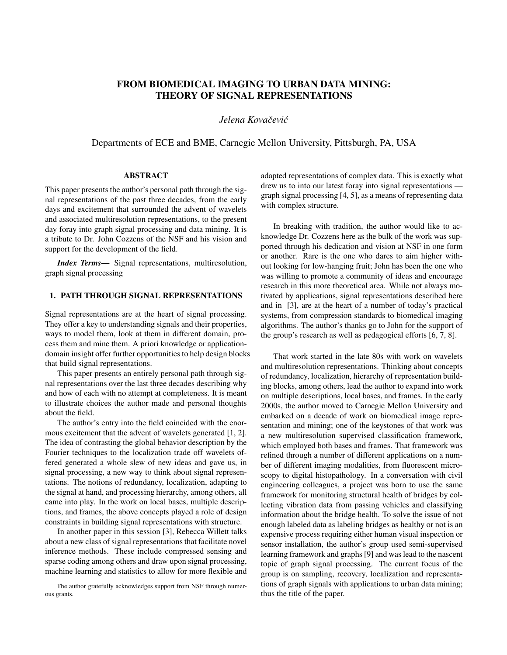# FROM BIOMEDICAL IMAGING TO URBAN DATA MINING: THEORY OF SIGNAL REPRESENTATIONS

*Jelena Kovacevi ˇ c´*

Departments of ECE and BME, Carnegie Mellon University, Pittsburgh, PA, USA

### ABSTRACT

This paper presents the author's personal path through the signal representations of the past three decades, from the early days and excitement that surrounded the advent of wavelets and associated multiresolution representations, to the present day foray into graph signal processing and data mining. It is a tribute to Dr. John Cozzens of the NSF and his vision and support for the development of the field.

*Index Terms*— Signal representations, multiresolution, graph signal processing

# 1. PATH THROUGH SIGNAL REPRESENTATIONS

Signal representations are at the heart of signal processing. They offer a key to understanding signals and their properties, ways to model them, look at them in different domain, process them and mine them. A priori knowledge or applicationdomain insight offer further opportunities to help design blocks that build signal representations.

This paper presents an entirely personal path through signal representations over the last three decades describing why and how of each with no attempt at completeness. It is meant to illustrate choices the author made and personal thoughts about the field.

The author's entry into the field coincided with the enormous excitement that the advent of wavelets generated [1, 2]. The idea of contrasting the global behavior description by the Fourier techniques to the localization trade off wavelets offered generated a whole slew of new ideas and gave us, in signal processing, a new way to think about signal representations. The notions of redundancy, localization, adapting to the signal at hand, and processing hierarchy, among others, all came into play. In the work on local bases, multiple descriptions, and frames, the above concepts played a role of design constraints in building signal representations with structure.

In another paper in this session [3], Rebecca Willett talks about a new class of signal representations that facilitate novel inference methods. These include compressed sensing and sparse coding among others and draw upon signal processing, machine learning and statistics to allow for more flexible and

adapted representations of complex data. This is exactly what drew us to into our latest foray into signal representations graph signal processing [4, 5], as a means of representing data with complex structure.

In breaking with tradition, the author would like to acknowledge Dr. Cozzens here as the bulk of the work was supported through his dedication and vision at NSF in one form or another. Rare is the one who dares to aim higher without looking for low-hanging fruit; John has been the one who was willing to promote a community of ideas and encourage research in this more theoretical area. While not always motivated by applications, signal representations described here and in [3], are at the heart of a number of today's practical systems, from compression standards to biomedical imaging algorithms. The author's thanks go to John for the support of the group's research as well as pedagogical efforts [6, 7, 8].

That work started in the late 80s with work on wavelets and multiresolution representations. Thinking about concepts of redundancy, localization, hierarchy of representation building blocks, among others, lead the author to expand into work on multiple descriptions, local bases, and frames. In the early 2000s, the author moved to Carnegie Mellon University and embarked on a decade of work on biomedical image representation and mining; one of the keystones of that work was a new multiresolution supervised classification framework, which employed both bases and frames. That framework was refined through a number of different applications on a number of different imaging modalities, from fluorescent microscopy to digital histopathology. In a conversation with civil engineering colleagues, a project was born to use the same framework for monitoring structural health of bridges by collecting vibration data from passing vehicles and classifying information about the bridge health. To solve the issue of not enough labeled data as labeling bridges as healthy or not is an expensive process requiring either human visual inspection or sensor installation, the author's group used semi-supervised learning framework and graphs [9] and was lead to the nascent topic of graph signal processing. The current focus of the group is on sampling, recovery, localization and representations of graph signals with applications to urban data mining; thus the title of the paper.

The author gratefully acknowledges support from NSF through numerous grants.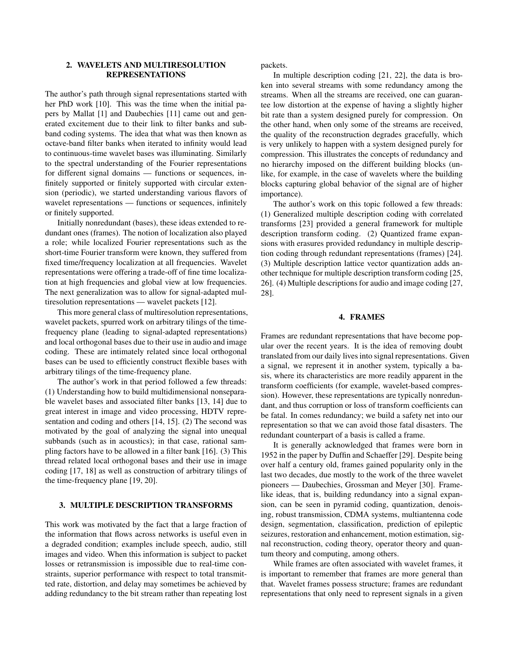# 2. WAVELETS AND MULTIRESOLUTION REPRESENTATIONS

The author's path through signal representations started with her PhD work [10]. This was the time when the initial papers by Mallat [1] and Daubechies [11] came out and generated excitement due to their link to filter banks and subband coding systems. The idea that what was then known as octave-band filter banks when iterated to infinity would lead to continuous-time wavelet bases was illuminating. Similarly to the spectral understanding of the Fourier representations for different signal domains — functions or sequences, infinitely supported or finitely supported with circular extension (periodic), we started understanding various flavors of wavelet representations — functions or sequences, infinitely or finitely supported.

Initially nonredundant (bases), these ideas extended to redundant ones (frames). The notion of localization also played a role; while localized Fourier representations such as the short-time Fourier transform were known, they suffered from fixed time/frequency localization at all frequencies. Wavelet representations were offering a trade-off of fine time localization at high frequencies and global view at low frequencies. The next generalization was to allow for signal-adapted multiresolution representations — wavelet packets [12].

This more general class of multiresolution representations, wavelet packets, spurred work on arbitrary tilings of the timefrequency plane (leading to signal-adapted representations) and local orthogonal bases due to their use in audio and image coding. These are intimately related since local orthogonal bases can be used to efficiently construct flexible bases with arbitrary tilings of the time-frequency plane.

The author's work in that period followed a few threads: (1) Understanding how to build multidimensional nonseparable wavelet bases and associated filter banks [13, 14] due to great interest in image and video processing, HDTV representation and coding and others [14, 15]. (2) The second was motivated by the goal of analyzing the signal into unequal subbands (such as in acoustics); in that case, rational sampling factors have to be allowed in a filter bank [16]. (3) This thread related local orthogonal bases and their use in image coding [17, 18] as well as construction of arbitrary tilings of the time-frequency plane [19, 20].

# 3. MULTIPLE DESCRIPTION TRANSFORMS

This work was motivated by the fact that a large fraction of the information that flows across networks is useful even in a degraded condition; examples include speech, audio, still images and video. When this information is subject to packet losses or retransmission is impossible due to real-time constraints, superior performance with respect to total transmitted rate, distortion, and delay may sometimes be achieved by adding redundancy to the bit stream rather than repeating lost

packets.

In multiple description coding [21, 22], the data is broken into several streams with some redundancy among the streams. When all the streams are received, one can guarantee low distortion at the expense of having a slightly higher bit rate than a system designed purely for compression. On the other hand, when only some of the streams are received, the quality of the reconstruction degrades gracefully, which is very unlikely to happen with a system designed purely for compression. This illustrates the concepts of redundancy and no hierarchy imposed on the different building blocks (unlike, for example, in the case of wavelets where the building blocks capturing global behavior of the signal are of higher importance).

The author's work on this topic followed a few threads: (1) Generalized multiple description coding with correlated transforms [23] provided a general framework for multiple description transform coding. (2) Quantized frame expansions with erasures provided redundancy in multiple description coding through redundant representations (frames) [24]. (3) Multiple description lattice vector quantization adds another technique for multiple description transform coding [25, 26]. (4) Multiple descriptions for audio and image coding [27, 28].

#### 4. FRAMES

Frames are redundant representations that have become popular over the recent years. It is the idea of removing doubt translated from our daily lives into signal representations. Given a signal, we represent it in another system, typically a basis, where its characteristics are more readily apparent in the transform coefficients (for example, wavelet-based compression). However, these representations are typically nonredundant, and thus corruption or loss of transform coefficients can be fatal. In comes redundancy; we build a safety net into our representation so that we can avoid those fatal disasters. The redundant counterpart of a basis is called a frame.

It is generally acknowledged that frames were born in 1952 in the paper by Duffin and Schaeffer [29]. Despite being over half a century old, frames gained popularity only in the last two decades, due mostly to the work of the three wavelet pioneers — Daubechies, Grossman and Meyer [30]. Framelike ideas, that is, building redundancy into a signal expansion, can be seen in pyramid coding, quantization, denoising, robust transmission, CDMA systems, multiantenna code design, segmentation, classification, prediction of epileptic seizures, restoration and enhancement, motion estimation, signal reconstruction, coding theory, operator theory and quantum theory and computing, among others.

While frames are often associated with wavelet frames, it is important to remember that frames are more general than that. Wavelet frames possess structure; frames are redundant representations that only need to represent signals in a given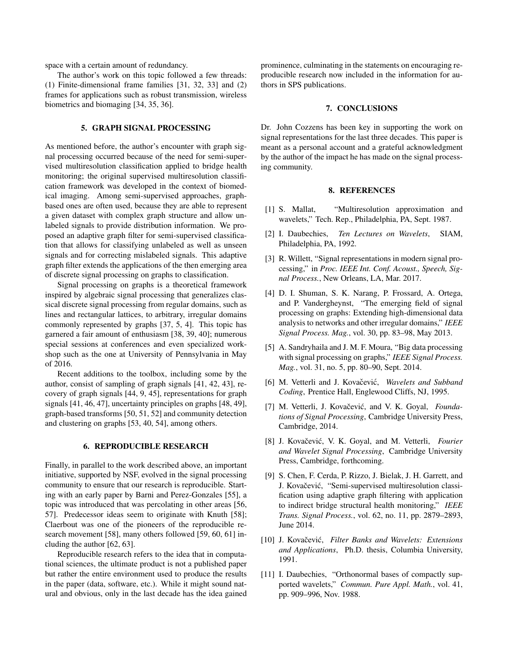space with a certain amount of redundancy.

The author's work on this topic followed a few threads: (1) Finite-dimensional frame families [31, 32, 33] and (2) frames for applications such as robust transmission, wireless biometrics and biomaging [34, 35, 36].

## 5. GRAPH SIGNAL PROCESSING

As mentioned before, the author's encounter with graph signal processing occurred because of the need for semi-supervised multiresolution classification applied to bridge health monitoring; the original supervised multiresolution classification framework was developed in the context of biomedical imaging. Among semi-supervised approaches, graphbased ones are often used, because they are able to represent a given dataset with complex graph structure and allow unlabeled signals to provide distribution information. We proposed an adaptive graph filter for semi-supervised classification that allows for classifying unlabeled as well as unseen signals and for correcting mislabeled signals. This adaptive graph filter extends the applications of the then emerging area of discrete signal processing on graphs to classification.

Signal processing on graphs is a theoretical framework inspired by algebraic signal processing that generalizes classical discrete signal processing from regular domains, such as lines and rectangular lattices, to arbitrary, irregular domains commonly represented by graphs [37, 5, 4]. This topic has garnered a fair amount of enthusiasm [38, 39, 40]; numerous special sessions at conferences and even specialized workshop such as the one at University of Pennsylvania in May of 2016.

Recent additions to the toolbox, including some by the author, consist of sampling of graph signals [41, 42, 43], recovery of graph signals [44, 9, 45], representations for graph signals [41, 46, 47], uncertainty principles on graphs [48, 49], graph-based transforms [50, 51, 52] and community detection and clustering on graphs [53, 40, 54], among others.

# 6. REPRODUCIBLE RESEARCH

Finally, in parallel to the work described above, an important initiative, supported by NSF, evolved in the signal processing community to ensure that our research is reproducible. Starting with an early paper by Barni and Perez-Gonzales [55], a topic was introduced that was percolating in other areas [56, 57]. Predecessor ideas seem to originate with Knuth [58]; Claerbout was one of the pioneers of the reproducible research movement [58], many others followed [59, 60, 61] including the author [62, 63].

Reproducible research refers to the idea that in computational sciences, the ultimate product is not a published paper but rather the entire environment used to produce the results in the paper (data, software, etc.). While it might sound natural and obvious, only in the last decade has the idea gained prominence, culminating in the statements on encouraging reproducible research now included in the information for authors in SPS publications.

### 7. CONCLUSIONS

Dr. John Cozzens has been key in supporting the work on signal representations for the last three decades. This paper is meant as a personal account and a grateful acknowledgment by the author of the impact he has made on the signal processing community.

# 8. REFERENCES

- [1] S. Mallat, "Multiresolution approximation and wavelets," Tech. Rep., Philadelphia, PA, Sept. 1987.
- [2] I. Daubechies, *Ten Lectures on Wavelets*, SIAM, Philadelphia, PA, 1992.
- [3] R. Willett, "Signal representations in modern signal processing," in *Proc. IEEE Int. Conf. Acoust., Speech, Signal Process.*, New Orleans, LA, Mar. 2017.
- [4] D. I. Shuman, S. K. Narang, P. Frossard, A. Ortega, and P. Vandergheynst, "The emerging field of signal processing on graphs: Extending high-dimensional data analysis to networks and other irregular domains," *IEEE Signal Process. Mag.*, vol. 30, pp. 83–98, May 2013.
- [5] A. Sandryhaila and J. M. F. Moura, "Big data processing with signal processing on graphs," *IEEE Signal Process. Mag.*, vol. 31, no. 5, pp. 80–90, Sept. 2014.
- [6] M. Vetterli and J. Kovačević, *Wavelets and Subband Coding*, Prentice Hall, Englewood Cliffs, NJ, 1995.
- [7] M. Vetterli, J. Kovačević, and V. K. Goyal, *Foundations of Signal Processing*, Cambridge University Press, Cambridge, 2014.
- [8] J. Kovačević, V. K. Goyal, and M. Vetterli, *Fourier and Wavelet Signal Processing*, Cambridge University Press, Cambridge, forthcoming.
- [9] S. Chen, F. Cerda, P. Rizzo, J. Bielak, J. H. Garrett, and J. Kovačević, "Semi-supervised multiresolution classification using adaptive graph filtering with application to indirect bridge structural health monitoring," *IEEE Trans. Signal Process.*, vol. 62, no. 11, pp. 2879–2893, June 2014.
- [10] J. Kovačević, Filter Banks and Wavelets: Extensions *and Applications*, Ph.D. thesis, Columbia University, 1991.
- [11] I. Daubechies, "Orthonormal bases of compactly supported wavelets," *Commun. Pure Appl. Math.*, vol. 41, pp. 909–996, Nov. 1988.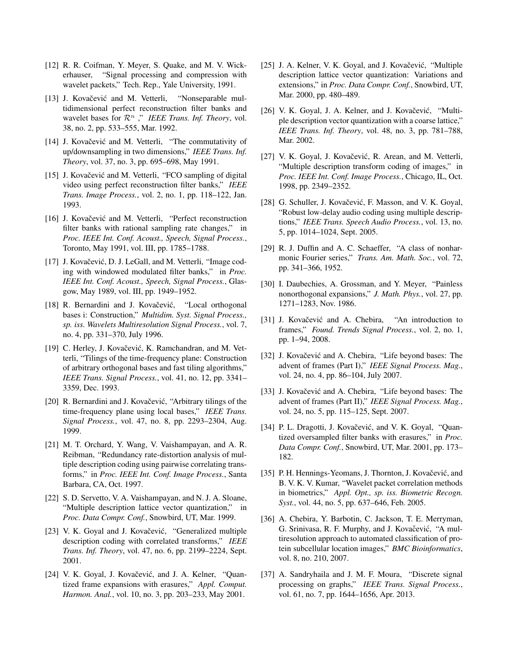- [12] R. R. Coifman, Y. Meyer, S. Quake, and M. V. Wickerhauser, "Signal processing and compression with wavelet packets," Tech. Rep., Yale University, 1991.
- [13] J. Kovačević and M. Vetterli, "Nonseparable multidimensional perfect reconstruction filter banks and wavelet bases for  $\mathcal{R}^n$ ," *IEEE Trans. Inf. Theory*, vol. 38, no. 2, pp. 533–555, Mar. 1992.
- [14] J. Kovačević and M. Vetterli, "The commutativity of up/downsampling in two dimensions," *IEEE Trans. Inf. Theory*, vol. 37, no. 3, pp. 695–698, May 1991.
- [15] J. Kovačević and M. Vetterli, "FCO sampling of digital video using perfect reconstruction filter banks," *IEEE Trans. Image Process.*, vol. 2, no. 1, pp. 118–122, Jan. 1993.
- [16] J. Kovačević and M. Vetterli, "Perfect reconstruction filter banks with rational sampling rate changes," in *Proc. IEEE Int. Conf. Acoust., Speech, Signal Process.*, Toronto, May 1991, vol. III, pp. 1785–1788.
- [17] J. Kovačević, D. J. LeGall, and M. Vetterli, "Image coding with windowed modulated filter banks," in *Proc. IEEE Int. Conf. Acoust., Speech, Signal Process.*, Glasgow, May 1989, vol. III, pp. 1949–1952.
- [18] R. Bernardini and J. Kovačević, "Local orthogonal bases i: Construction," *Multidim. Syst. Signal Process., sp. iss. Wavelets Multiresolution Signal Process.*, vol. 7, no. 4, pp. 331–370, July 1996.
- [19] C. Herley, J. Kovačević, K. Ramchandran, and M. Vetterli, "Tilings of the time-frequency plane: Construction of arbitrary orthogonal bases and fast tiling algorithms," *IEEE Trans. Signal Process.*, vol. 41, no. 12, pp. 3341– 3359, Dec. 1993.
- [20] R. Bernardini and J. Kovačević, "Arbitrary tilings of the time-frequency plane using local bases," *IEEE Trans. Signal Process.*, vol. 47, no. 8, pp. 2293–2304, Aug. 1999.
- [21] M. T. Orchard, Y. Wang, V. Vaishampayan, and A. R. Reibman, "Redundancy rate-distortion analysis of multiple description coding using pairwise correlating transforms," in *Proc. IEEE Int. Conf. Image Process.*, Santa Barbara, CA, Oct. 1997.
- [22] S. D. Servetto, V. A. Vaishampayan, and N. J. A. Sloane, "Multiple description lattice vector quantization," in *Proc. Data Compr. Conf.*, Snowbird, UT, Mar. 1999.
- [23] V. K. Goyal and J. Kovačević, "Generalized multiple description coding with correlated transforms," *IEEE Trans. Inf. Theory*, vol. 47, no. 6, pp. 2199–2224, Sept. 2001.
- [24] V. K. Goyal, J. Kovačević, and J. A. Kelner, "Quantized frame expansions with erasures," *Appl. Comput. Harmon. Anal.*, vol. 10, no. 3, pp. 203–233, May 2001.
- [25] J. A. Kelner, V. K. Goyal, and J. Kovačević, "Multiple description lattice vector quantization: Variations and extensions," in *Proc. Data Compr. Conf.*, Snowbird, UT, Mar. 2000, pp. 480–489.
- [26] V. K. Goyal, J. A. Kelner, and J. Kovačević, "Multiple description vector quantization with a coarse lattice," *IEEE Trans. Inf. Theory*, vol. 48, no. 3, pp. 781–788, Mar. 2002.
- [27] V. K. Goyal, J. Kovačević, R. Arean, and M. Vetterli, "Multiple description transform coding of images," in *Proc. IEEE Int. Conf. Image Process.*, Chicago, IL, Oct. 1998, pp. 2349–2352.
- [28] G. Schuller, J. Kovačević, F. Masson, and V. K. Goyal, "Robust low-delay audio coding using multiple descriptions," *IEEE Trans. Speech Audio Process.*, vol. 13, no. 5, pp. 1014–1024, Sept. 2005.
- [29] R. J. Duffin and A. C. Schaeffer, "A class of nonharmonic Fourier series," *Trans. Am. Math. Soc.*, vol. 72, pp. 341–366, 1952.
- [30] I. Daubechies, A. Grossman, and Y. Meyer, "Painless" nonorthogonal expansions," *J. Math. Phys.*, vol. 27, pp. 1271–1283, Nov. 1986.
- [31] J. Kovačević and A. Chebira, "An introduction to frames," *Found. Trends Signal Process.*, vol. 2, no. 1, pp. 1–94, 2008.
- [32] J. Kovačević and A. Chebira, "Life beyond bases: The advent of frames (Part I)," *IEEE Signal Process. Mag.*, vol. 24, no. 4, pp. 86–104, July 2007.
- [33] J. Kovačević and A. Chebira, "Life beyond bases: The advent of frames (Part II)," *IEEE Signal Process. Mag.*, vol. 24, no. 5, pp. 115–125, Sept. 2007.
- [34] P. L. Dragotti, J. Kovačević, and V. K. Goyal, "Quantized oversampled filter banks with erasures," in *Proc. Data Compr. Conf.*, Snowbird, UT, Mar. 2001, pp. 173– 182.
- [35] P. H. Hennings-Yeomans, J. Thornton, J. Kovačević, and B. V. K. V. Kumar, "Wavelet packet correlation methods in biometrics," *Appl. Opt., sp. iss. Biometric Recogn. Syst.*, vol. 44, no. 5, pp. 637–646, Feb. 2005.
- [36] A. Chebira, Y. Barbotin, C. Jackson, T. E. Merryman, G. Srinivasa, R. F. Murphy, and J. Kovačević, "A multiresolution approach to automated classification of protein subcellular location images," *BMC Bioinformatics*, vol. 8, no. 210, 2007.
- [37] A. Sandryhaila and J. M. F. Moura, "Discrete signal processing on graphs," *IEEE Trans. Signal Process.*, vol. 61, no. 7, pp. 1644–1656, Apr. 2013.